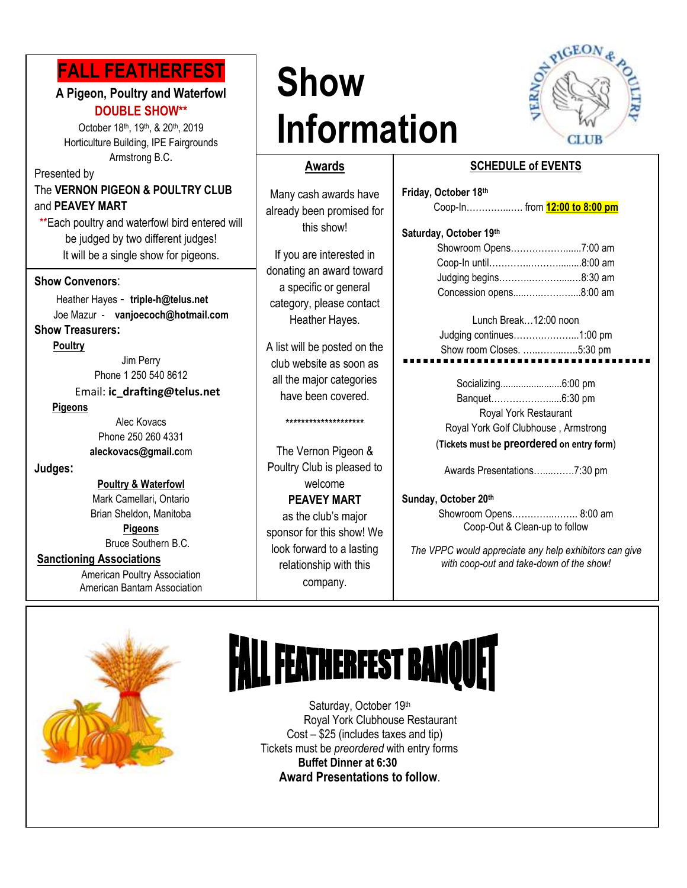## **FALL FEATHERFEST**

#### **A Pigeon, Poultry and Waterfowl DOUBLE SHOW\*\***

 Horticulture Building, IPE Fairgrounds October 18th, 19th, & 20th, 2019 Armstrong B.C.

Presented by The **VERNON PIGEON & POULTRY CLUB** and **PEAVEY MART**

\*\*Each poultry and waterfowl bird entered will be judged by two different judges! It will be a single show for pigeons.

#### **Show Convenors**:

 Heather Hayes - **triple-h@telus.net** Joe Mazur- **vanjoecoch@hotmail.com**

### **Show Treasurers:**

 **Poultry**

Jim Perry Phone 1 250 540 8612

Email: **ic\_drafting@telus.net**

#### **Pigeons**

Alec Kovacs Phone 250 260 4331 **aleckovacs@gmail.c**om

#### **Judges:**

**Poultry & Waterfowl** Mark Camellari, Ontario Brian Sheldon, Manitoba

**Pigeons** Bruce Southern B.C.

#### **Sanctioning Associations**

American Poultry Association American Bantam Association

## **Show Information**



#### **Awards**

**B**<br>
Many cash awards have already been promised for this show!

> If you are interested in donating an award toward a specific or general category, please contact Heather Hayes.

> A list will be posted on the club website as soon as all the major categories have been covered.

#### \*\*\*\*\*\*\*\*\*\*\*\*\*\*\*\*\*\*\*\*

The Vernon Pigeon & Poultry Club is pleased to welcome **PEAVEY MART** 

as the club's major sponsor for this show! We look forward to a lasting relationship with this company.

## **SCHEDULE of EVENTS**

| Friday, October 18th          |  |
|-------------------------------|--|
| Coop-In from 12:00 to 8:00 pm |  |
| Saturday, October 19th        |  |
| Showroom Opens7:00 am         |  |
|                               |  |
| Judging begins8:30 am         |  |

Concession opens.....…..…….…....8:00 am

#### Lunch Break…12:00 noon Judging continues……….………...1:00 pm Show room Closes. …..……...…..5:30 pm

Socializing........................6:00 pm Banquet…………….….....6:30 pm Royal York Restaurant Royal York Golf Clubhouse , Armstrong (**Tickets must be preordered on entry form**)

Awards Presentations…....…….7:30 pm

#### **Sunday, October 20th**

Showroom Opens…………..…….. 8:00 am Coop-Out & Clean-up to follow

*The VPPC would appreciate any help exhibitors can give with coop-out and take-down of the show!*



# **FALL FEATHERFEST BANQUET**

Saturday, October 19th Royal York Clubhouse Restaurant Cost – \$25 (includes taxes and tip) Tickets must be *preordered* with entry forms **Buffet Dinner at 6:30 Award Presentations to follow**.